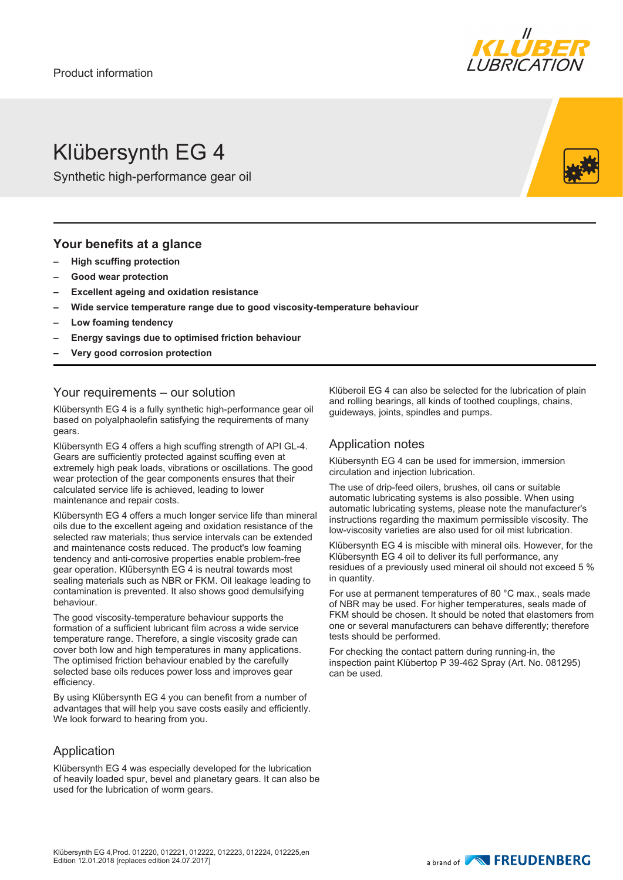

## Klübersynth EG 4

Synthetic high-performance gear oil

#### **Your benefits at a glance**

- **– High scuffing protection**
- **– Good wear protection**
- **– Excellent ageing and oxidation resistance**
- **– Wide service temperature range due to good viscosity-temperature behaviour**
- **– Low foaming tendency**
- **– Energy savings due to optimised friction behaviour**
- **– Very good corrosion protection**

#### Your requirements – our solution

Klübersynth EG 4 is a fully synthetic high-performance gear oil based on polyalphaolefin satisfying the requirements of many gears.

Klübersynth EG 4 offers a high scuffing strength of API GL-4. Gears are sufficiently protected against scuffing even at extremely high peak loads, vibrations or oscillations. The good wear protection of the gear components ensures that their calculated service life is achieved, leading to lower maintenance and repair costs.

Klübersynth EG 4 offers a much longer service life than mineral oils due to the excellent ageing and oxidation resistance of the selected raw materials; thus service intervals can be extended and maintenance costs reduced. The product's low foaming tendency and anti-corrosive properties enable problem-free gear operation. Klübersynth EG 4 is neutral towards most sealing materials such as NBR or FKM. Oil leakage leading to contamination is prevented. It also shows good demulsifying behaviour.

The good viscosity-temperature behaviour supports the formation of a sufficient lubricant film across a wide service temperature range. Therefore, a single viscosity grade can cover both low and high temperatures in many applications. The optimised friction behaviour enabled by the carefully selected base oils reduces power loss and improves gear efficiency.

By using Klübersynth EG 4 you can benefit from a number of advantages that will help you save costs easily and efficiently. We look forward to hearing from you.

#### Application

Klübersynth EG 4 was especially developed for the lubrication of heavily loaded spur, bevel and planetary gears. It can also be used for the lubrication of worm gears.

Klüberoil EG 4 can also be selected for the lubrication of plain and rolling bearings, all kinds of toothed couplings, chains, guideways, joints, spindles and pumps.

#### Application notes

Klübersynth EG 4 can be used for immersion, immersion circulation and injection lubrication.

The use of drip-feed oilers, brushes, oil cans or suitable automatic lubricating systems is also possible. When using automatic lubricating systems, please note the manufacturer's instructions regarding the maximum permissible viscosity. The low-viscosity varieties are also used for oil mist lubrication.

Klübersynth EG 4 is miscible with mineral oils. However, for the Klübersynth EG 4 oil to deliver its full performance, any residues of a previously used mineral oil should not exceed 5 % in quantity.

For use at permanent temperatures of 80 °C max., seals made of NBR may be used. For higher temperatures, seals made of FKM should be chosen. It should be noted that elastomers from one or several manufacturers can behave differently; therefore tests should be performed.

For checking the contact pattern during running-in, the inspection paint Klübertop P 39-462 Spray (Art. No. 081295) can be used.

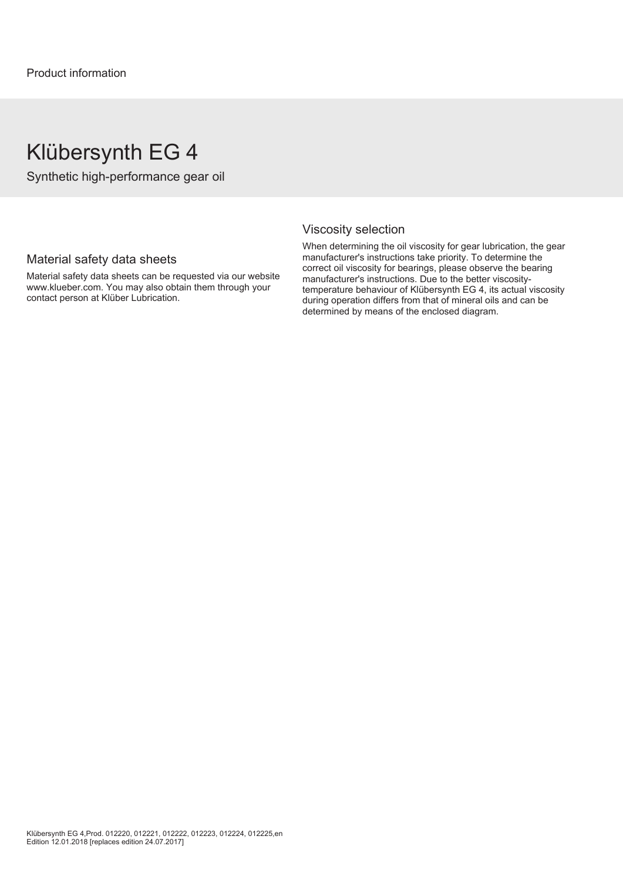### Klübersynth EG 4

Synthetic high-performance gear oil

#### Material safety data sheets

Material safety data sheets can be requested via our website www.klueber.com. You may also obtain them through your contact person at Klüber Lubrication.

#### Viscosity selection

When determining the oil viscosity for gear lubrication, the gear manufacturer's instructions take priority. To determine the correct oil viscosity for bearings, please observe the bearing manufacturer's instructions. Due to the better viscositytemperature behaviour of Klübersynth EG 4, its actual viscosity during operation differs from that of mineral oils and can be determined by means of the enclosed diagram.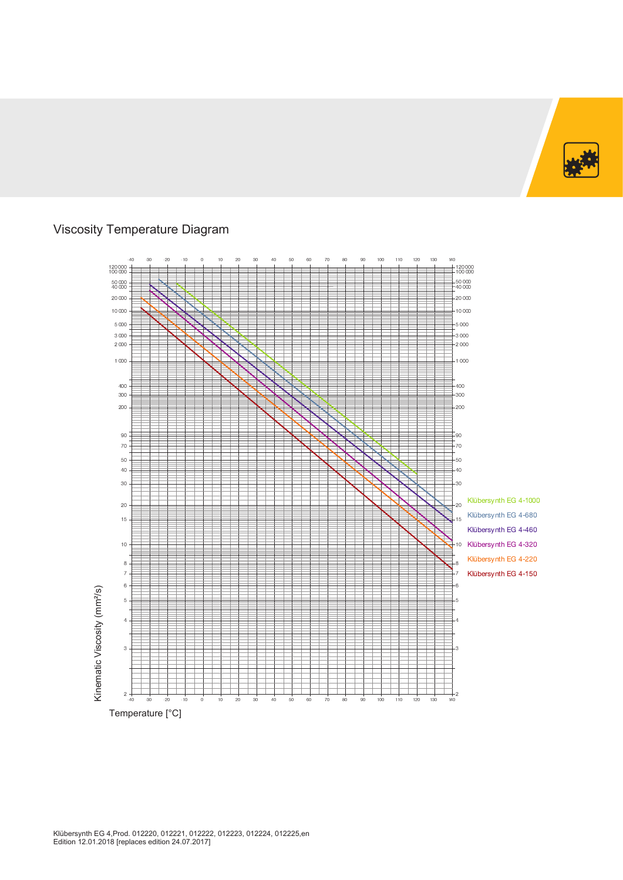

### Viscosity Temperature Diagram

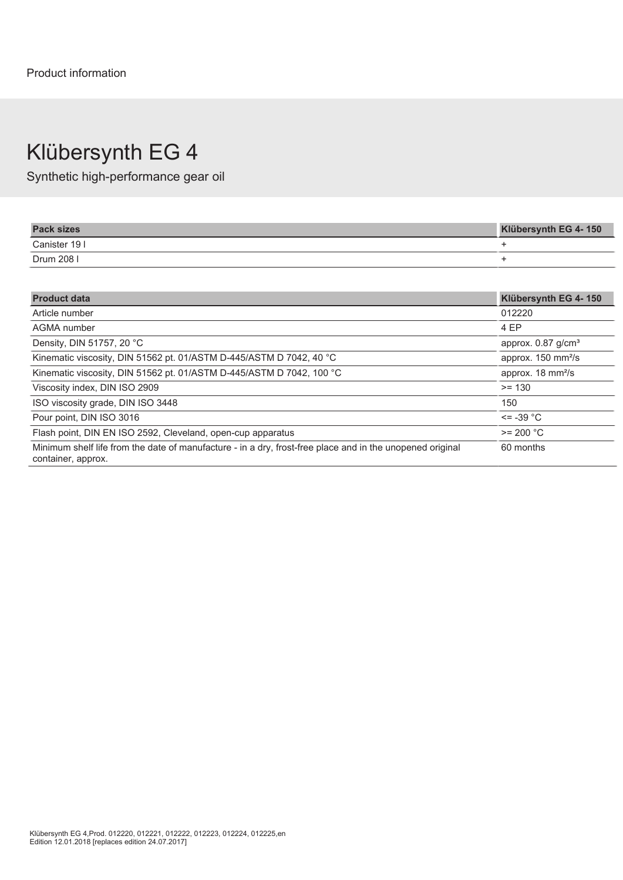# Klübersynth EG 4

Synthetic high-performance gear oil

| <b>Pack sizes</b> | Klübersynth EG 4-150 |
|-------------------|----------------------|
| Canister 19 I     |                      |
| Drum 208 I        |                      |

| <b>Product data</b>                                                                                                             | Klübersynth EG 4-150             |
|---------------------------------------------------------------------------------------------------------------------------------|----------------------------------|
| Article number                                                                                                                  | 012220                           |
| AGMA number                                                                                                                     | 4 EP                             |
| Density, DIN 51757, 20 °C                                                                                                       | approx. $0.87$ g/cm <sup>3</sup> |
| Kinematic viscosity, DIN 51562 pt. 01/ASTM D-445/ASTM D 7042, 40 °C                                                             | approx. 150 mm <sup>2</sup> /s   |
| Kinematic viscosity, DIN 51562 pt. 01/ASTM D-445/ASTM D 7042, 100 °C                                                            | approx. 18 mm <sup>2</sup> /s    |
| Viscosity index, DIN ISO 2909                                                                                                   | $>= 130$                         |
| ISO viscosity grade, DIN ISO 3448                                                                                               | 150                              |
| Pour point, DIN ISO 3016                                                                                                        | $\le$ = -39 °C                   |
| Flash point, DIN EN ISO 2592, Cleveland, open-cup apparatus                                                                     | $>= 200 °C$                      |
| Minimum shelf life from the date of manufacture - in a dry, frost-free place and in the unopened original<br>container, approx. | 60 months                        |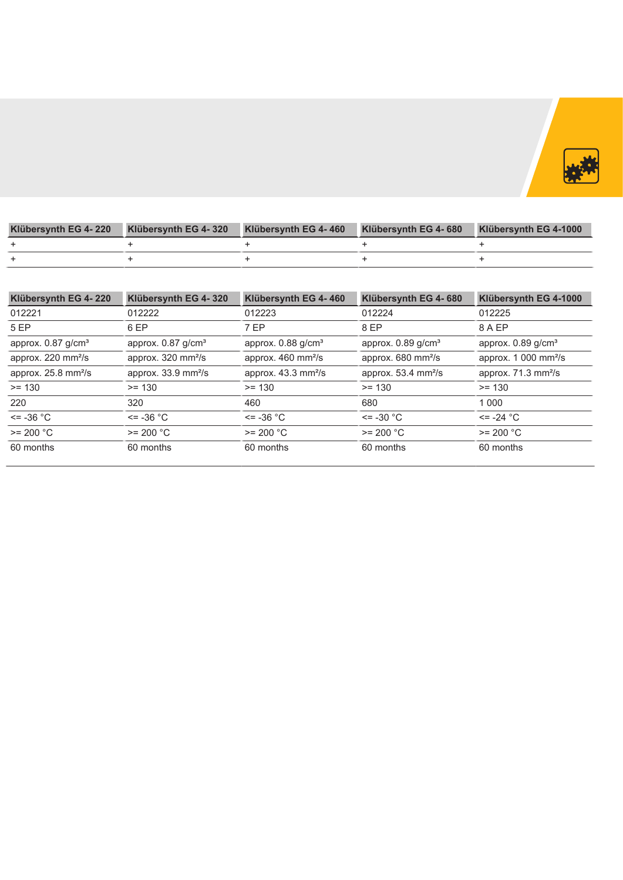

| Klübersynth EG 4- 220 |  | Klübersynth EG 4-320 Klübersynth EG 4-460 Klübersynth EG 4-680 Klübersynth EG 4-1000 |
|-----------------------|--|--------------------------------------------------------------------------------------|
|                       |  |                                                                                      |
|                       |  |                                                                                      |

| 012222<br>012223<br>6 EP<br>approx. 0.87 g/cm <sup>3</sup> | 012221<br>5 EP                  | 012224                                                                  | 012225                           |
|------------------------------------------------------------|---------------------------------|-------------------------------------------------------------------------|----------------------------------|
|                                                            |                                 |                                                                         |                                  |
|                                                            |                                 | 8 EP                                                                    | 8 A EP                           |
|                                                            | approx. 0.87 g/cm <sup>3</sup>  | approx. 0.89 g/cm <sup>3</sup><br>approx. 0.88 g/cm <sup>3</sup>        | approx. 0.89 g/cm <sup>3</sup>   |
| approx. 320 mm <sup>2</sup> /s                             | approx. 220 mm <sup>2</sup> /s  | approx. 680 mm <sup>2</sup> /s<br>approx. 460 mm <sup>2</sup> /s        | approx. 1 000 mm <sup>2</sup> /s |
| approx. 33.9 mm <sup>2</sup> /s                            | approx. 25.8 mm <sup>2</sup> /s | approx. $53.4 \text{ mm}^2\text{/s}$<br>approx. 43.3 mm <sup>2</sup> /s | approx. 71.3 mm <sup>2</sup> /s  |
| $>= 130$<br>$>= 130$                                       | $>= 130$                        | $>= 130$                                                                | $>= 130$                         |
| 320<br>460                                                 | 220                             | 680                                                                     | 1 0 0 0                          |
| $\le$ = -36 °C                                             | $\epsilon$ = -36 °C             | $\le$ = -30 $^{\circ}$ C<br>$\le$ = -36 $^{\circ}$ C                    | <= -24 °C                        |
| $>= 200 °C$                                                | $>= 200 °C$                     | $>= 200 °C$<br>$>= 200 °C$                                              | $>= 200 °C$                      |
| 60 months                                                  | 60 months                       | 60 months<br>60 months                                                  | 60 months                        |
|                                                            |                                 |                                                                         |                                  |